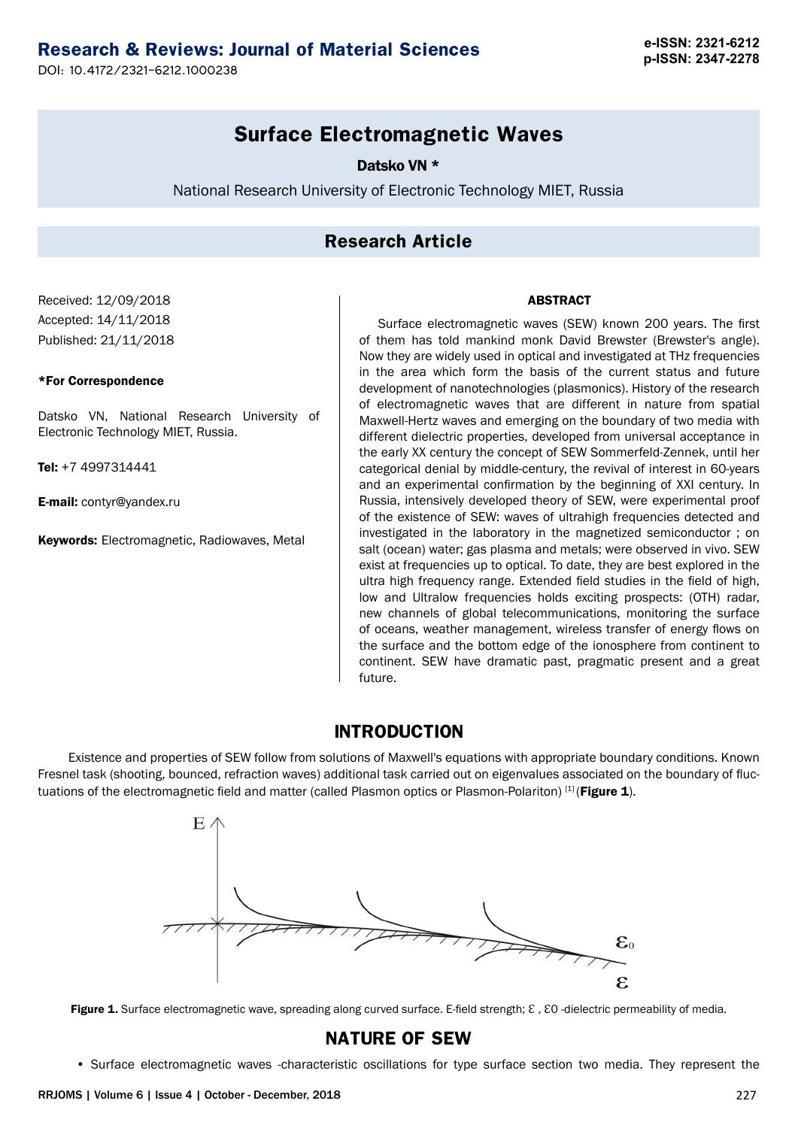## **Research & Reviews: Journal of Material Sciences e-ISSN: 2321-6212**

**p-ISSN: 2347-2278** DOI: 10.4172/2321-6212.1000238

## **Surface Electromagnetic Waves**

Datsko VN \*

National Research University of Electronic Technology MIET, Russia

#### **Research Article**

#### Received: 12/09/2018 Accepted: 14/11/2018 Published: 21/11/2018

#### \*For Correspondence

Datsko VN, National Research University of Electronic Technology MIET, Russia.

Tel: +7 4997314441

E-mail: [contyr@yandex.ru](mailto:contyr@yandex.ru)

Keywords: Electromagnetic, Radiowaves, Metal

#### ABSTRACT

Surface electromagnetic waves (SEW) known 200 years. The first of them has told mankind monk David Brewster (Brewster's angle). Now they are widely used in optical and investigated at THz frequencies in the area which form the basis of the current status and future development of nanotechnologies (plasmonics). History of the research of electromagnetic waves that are different in nature from spatial Maxwell-Hertz waves and emerging on the boundary of two media with different dielectric properties, developed from universal acceptance in the early XX century the concept of SEW Sommerfeld-Zennek, until her categorical denial by middle-century, the revival of interest in 60-years and an experimental confirmation by the beginning of XXI century. In Russia, intensively developed theory of SEW, were experimental proof of the existence of SEW: waves of ultrahigh frequencies detected and investigated in the laboratory in the magnetized semiconductor ; on salt (ocean) water; gas plasma and metals; were observed in vivo. SEW exist at frequencies up to optical. To date, they are best explored in the ultra high frequency range. Extended field studies in the field of high, low and Ultralow frequencies holds exciting prospects: (OTH) radar, new channels of global telecommunications, monitoring the surface of oceans, weather management, wireless transfer of energy flows on the surface and the bottom edge of the ionosphere from continent to continent. SEW have dramatic past, pragmatic present and a great future.

#### **INTRODUCTION**

Existence and properties of SEW follow from solutions of Maxwell's equations with appropriate boundary conditions. Known Fresnel task (shooting, bounced, refraction waves) additional task carried out on eigenvalues associated on the boundary of fluctuations of the electromagnetic field and matter (called Plasmon optics or Plasmon-Polariton) [1] (Figure 1).



Figure 1. Surface electromagnetic wave, spreading along curved surface. E-field strength;  $\epsilon$ ,  $\epsilon$ O -dielectric permeability of media.

#### **NATURE OF SEW**

• Surface electromagnetic waves -characteristic oscillations for type surface section two media. They represent the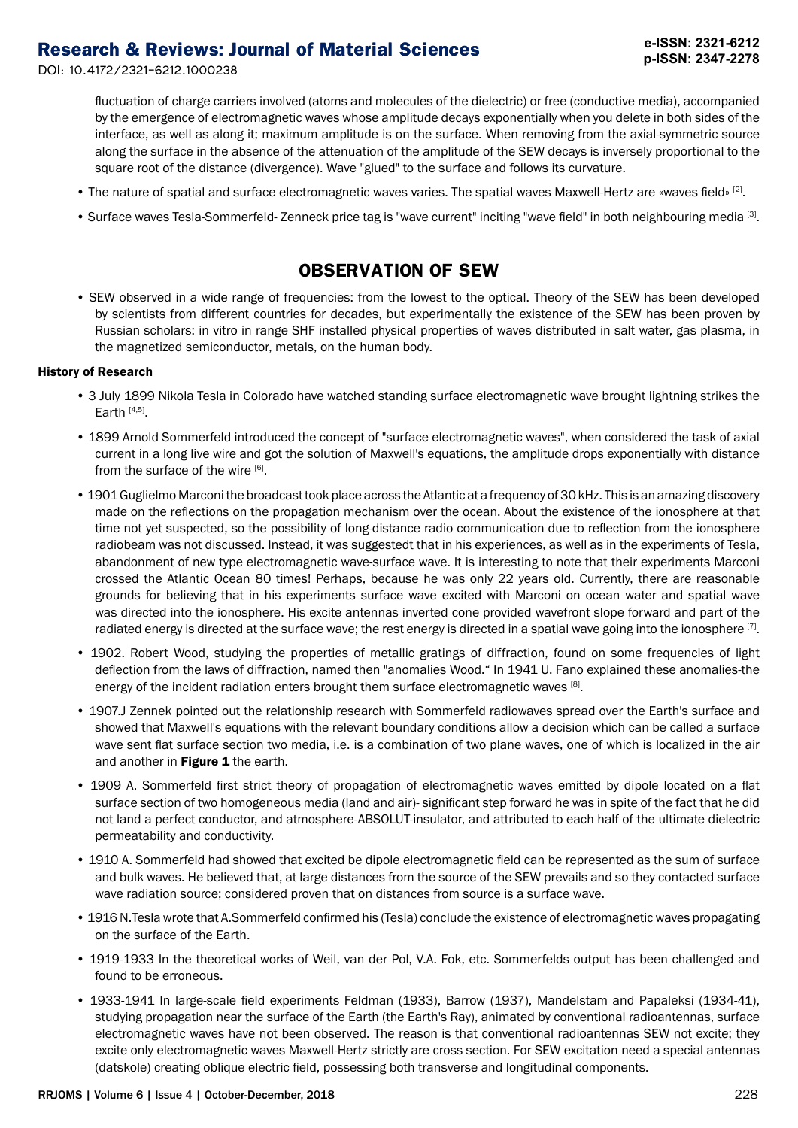fluctuation of charge carriers involved (atoms and molecules of the dielectric) or free (conductive media), accompanied by the emergence of electromagnetic waves whose amplitude decays exponentially when you delete in both sides of the interface, as well as along it; maximum amplitude is on the surface. When removing from the axial-symmetric source along the surface in the absence of the attenuation of the amplitude of the SEW decays is inversely proportional to the square root of the distance (divergence). Wave "glued" to the surface and follows its curvature.

- The nature of spatial and surface electromagnetic waves varies. The spatial waves Maxwell-Hertz are «waves field» [2].
- Surface waves Tesla-Sommerfeld- Zenneck price tag is "wave current" inciting "wave field" in both neighbouring media [3].

#### **OBSERVATION OF SEW**

• SEW observed in a wide range of frequencies: from the lowest to the optical. Theory of the SEW has been developed by scientists from different countries for decades, but experimentally the existence of the SEW has been proven by Russian scholars: in vitro in range SHF installed physical properties of waves distributed in salt water, gas plasma, in the magnetized semiconductor, metals, on the human body.

#### History of Research

- 3 July 1899 Nikola Tesla in Colorado have watched standing surface electromagnetic wave brought lightning strikes the Earth  $[4,5]$ .
- 1899 Arnold Sommerfeld introduced the concept of "surface electromagnetic waves", when considered the task of axial current in a long live wire and got the solution of Maxwell's equations, the amplitude drops exponentially with distance from the surface of the wire [6].
- 1901 Guglielmo Marconi the broadcast took place across the Atlantic at a frequency of 30 kHz. This is an amazing discovery made on the reflections on the propagation mechanism over the ocean. About the existence of the ionosphere at that time not yet suspected, so the possibility of long-distance radio communication due to reflection from the ionosphere radiobeam was not discussed. Instead, it was suggestedt that in his experiences, as well as in the experiments of Tesla, abandonment of new type electromagnetic wave-surface wave. It is interesting to note that their experiments Marconi crossed the Atlantic Ocean 80 times! Perhaps, because he was only 22 years old. Currently, there are reasonable grounds for believing that in his experiments surface wave excited with Marconi on ocean water and spatial wave was directed into the ionosphere. His excite antennas inverted cone provided wavefront slope forward and part of the radiated energy is directed at the surface wave; the rest energy is directed in a spatial wave going into the ionosphere  $^{[7]}$ .
- 1902. Robert Wood, studying the properties of metallic gratings of diffraction, found on some frequencies of light deflection from the laws of diffraction, named then "anomalies Wood." In 1941 U. Fano explained these anomalies-the energy of the incident radiation enters brought them surface electromagnetic waves [8].
- 1907.J Zennek pointed out the relationship research with Sommerfeld radiowaves spread over the Earth's surface and showed that Maxwell's equations with the relevant boundary conditions allow a decision which can be called a surface wave sent flat surface section two media, i.e. is a combination of two plane waves, one of which is localized in the air and another in Figure 1 the earth.
- 1909 A. Sommerfeld first strict theory of propagation of electromagnetic waves emitted by dipole located on a flat surface section of two homogeneous media (land and air)- significant step forward he was in spite of the fact that he did not land a perfect conductor, and atmosphere-ABSOLUT-insulator, and attributed to each half of the ultimate dielectric permeatability and conductivity.
- 1910 A. Sommerfeld had showed that excited be dipole electromagnetic field can be represented as the sum of surface and bulk waves. He believed that, at large distances from the source of the SEW prevails and so they contacted surface wave radiation source; considered proven that on distances from source is a surface wave.
- 1916 N.Tesla wrote that A.Sommerfeld confirmed his (Tesla) conclude the existence of electromagnetic waves propagating on the surface of the Earth.
- 1919-1933 In the theoretical works of Weil, van der Pol, V.A. Fok, etc. Sommerfelds output has been challenged and found to be erroneous.
- 1933-1941 In large-scale field experiments Feldman (1933), Barrow (1937), Mandelstam and Papaleksi (1934-41), studying propagation near the surface of the Earth (the Earth's Ray), animated by conventional radioantennas, surface electromagnetic waves have not been observed. The reason is that conventional radioantennas SEW not excite; they excite only electromagnetic waves Maxwell-Hertz strictly are cross section. For SEW excitation need a special antennas (datskole) creating oblique electric field, possessing both transverse and longitudinal components.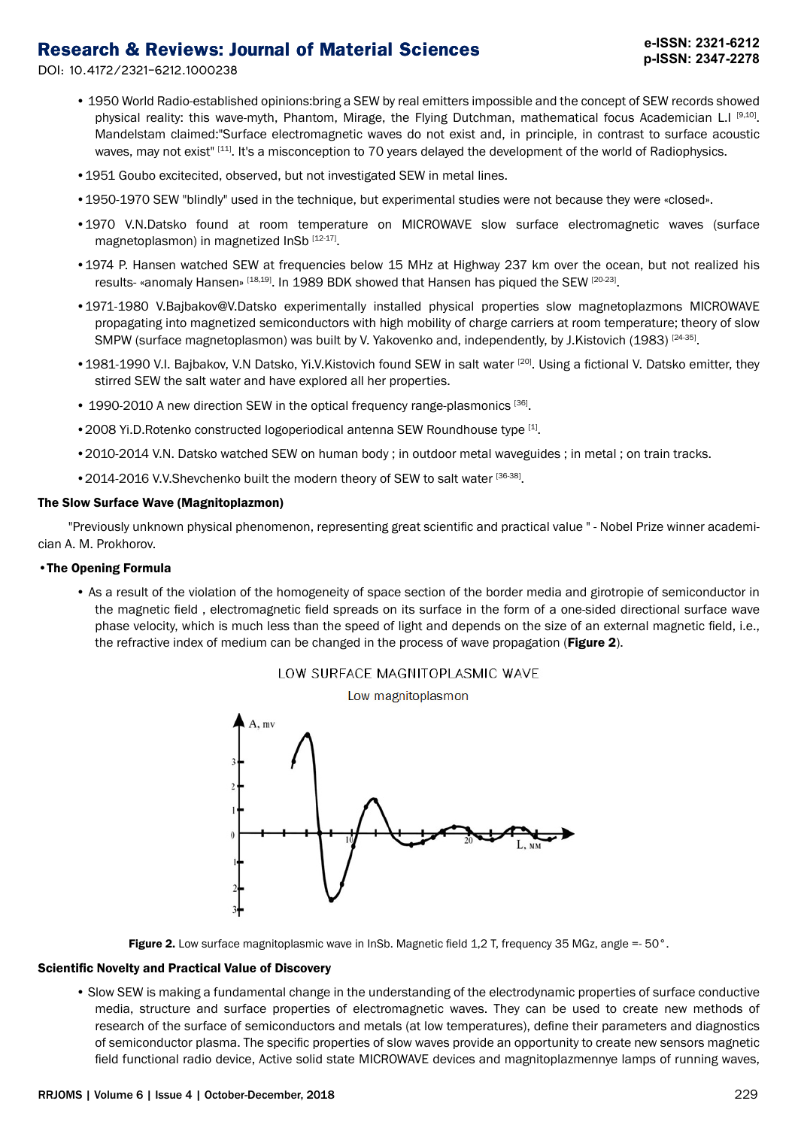DOI: 10.4172/2321-6212.1000238

- 1950 World Radio-established opinions:bring a SEW by real emitters impossible and the concept of SEW records showed physical reality: this wave-myth, Phantom, Mirage, the Flying Dutchman, mathematical focus Academician L.I [9,10]. Mandelstam claimed:"Surface electromagnetic waves do not exist and, in principle, in contrast to surface acoustic waves, may not exist<sup>" [11]</sup>. It's a misconception to 70 years delayed the development of the world of Radiophysics.
- •1951 Goubo excitecited, observed, but not investigated SEW in metal lines.
- •1950-1970 SEW "blindly" used in the technique, but experimental studies were not because they were «closed».
- •1970 V.N.Datsko found at room temperature on MICROWAVE slow surface electromagnetic waves (surface magnetoplasmon) in magnetized InSb [12-17].
- •1974 P. Hansen watched SEW at frequencies below 15 MHz at Highway 237 km over the ocean, but not realized his results- «anomaly Hansen» [18,19]. In 1989 BDK showed that Hansen has piqued the SEW [20-23].
- •1971-1980 V.Bajbakov@V.Datsko experimentally installed physical properties slow magnetoplazmons MICROWAVE propagating into magnetized semiconductors with high mobility of charge carriers at room temperature; theory of slow SMPW (surface magnetoplasmon) was built by V. Yakovenko and, independently, by J.Kistovich (1983) [24-35].
- 1981-1990 V.I. Bajbakov, V.N Datsko, Yi.V.Kistovich found SEW in salt water [20]. Using a fictional V. Datsko emitter, they stirred SEW the salt water and have explored all her properties.
- 1990-2010 A new direction SEW in the optical frequency range-plasmonics [36].
- 2008 Yi.D.Rotenko constructed logoperiodical antenna SEW Roundhouse type [1].
- •2010-2014 V.N. Datsko watched SEW on human body ; in outdoor metal waveguides ; in metal ; on train tracks.
- 2014-2016 V.V. Shevchenko built the modern theory of SEW to salt water [36-38].

#### The Slow Surface Wave (Magnitoplazmon)

"Previously unknown physical phenomenon, representing great scientific and practical value " - Nobel Prize winner academician A. M. Prokhorov.

#### •The Opening Formula

• As a result of the violation of the homogeneity of space section of the border media and girotropie of semiconductor in the magnetic field , electromagnetic field spreads on its surface in the form of a one-sided directional surface wave phase velocity, which is much less than the speed of light and depends on the size of an external magnetic field, i.e., the refractive index of medium can be changed in the process of wave propagation (Figure 2).



#### LOW SURFACE MAGNITOPLASMIC WAVE

Figure 2. Low surface magnitoplasmic wave in InSb. Magnetic field 1,2 T, frequency 35 MGz, angle =-  $50^\circ$ .

#### Scientific Novelty and Practical Value of Discovery

• Slow SEW is making a fundamental change in the understanding of the electrodynamic properties of surface conductive media, structure and surface properties of electromagnetic waves. They can be used to create new methods of research of the surface of semiconductors and metals (at low temperatures), define their parameters and diagnostics of semiconductor plasma. The specific properties of slow waves provide an opportunity to create new sensors magnetic field functional radio device, Active solid state MICROWAVE devices and magnitoplazmennye lamps of running waves,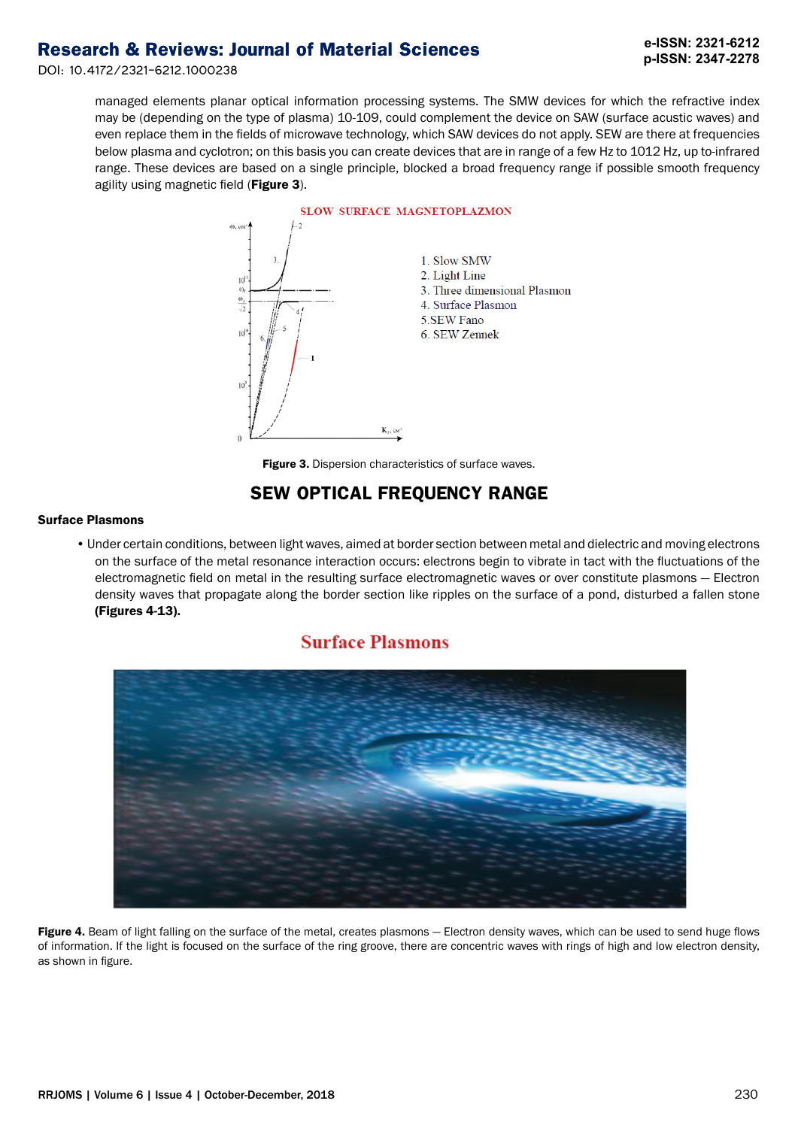DOI: 10.4172/2321-6212.1000238

managed elements planar optical information processing systems. The SMW devices for which the refractive index may be (depending on the type of plasma) 10-109, could complement the device on SAW (surface acustic waves) and even replace them in the fields of microwave technology, which SAW devices do not apply. SEW are there at frequencies below plasma and cyclotron; on this basis you can create devices that are in range of a few Hz to 1012 Hz, up to-infrared range. These devices are based on a single principle, blocked a broad frequency range if possible smooth frequency agility using magnetic field (Figure 3).



**Figure 3.** Dispersion characteristics of surface waves.

## **SEW OPTICAL FREQUENCY RANGE**

#### Surface Plasmons

• Under certain conditions, between light waves, aimed at border section between metal and dielectric and moving electrons on the surface of the metal resonance interaction occurs: electrons begin to vibrate in tact with the fluctuations of the electromagnetic field on metal in the resulting surface electromagnetic waves or over constitute plasmons — Electron density waves that propagate along the border section like ripples on the surface of a pond, disturbed a fallen stone (Figures 4-13).

## **Surface Plasmons**



Figure 4. Beam of light falling on the surface of the metal, creates plasmons - Electron density waves, which can be used to send huge flows of information. If the light is focused on the surface of the ring groove, there are concentric waves with rings of high and low electron density, as shown in figure.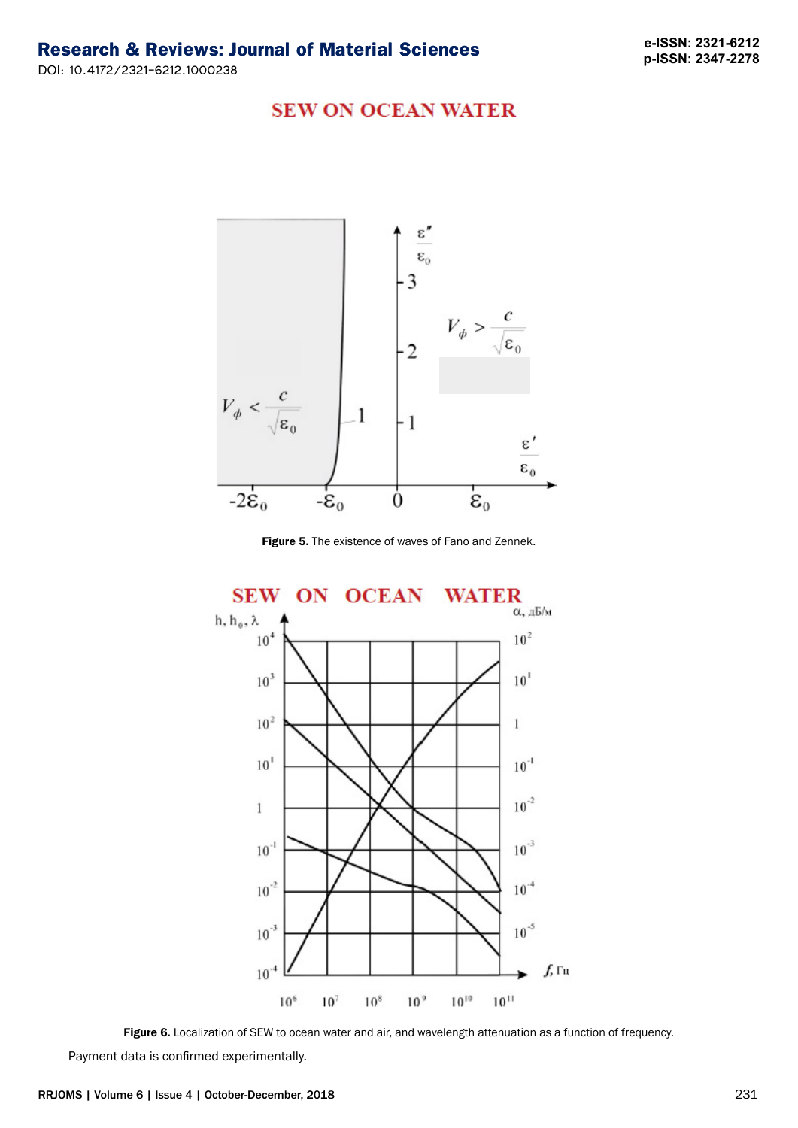**e-ISSN: 2321-6212 p-ISSN: 2347-2278**

#### **SEW ON OCEAN WATER**



**Figure 5.** The existence of waves of Fano and Zennek.



Figure 6. Localization of SEW to ocean water and air, and wavelength attenuation as a function of frequency.

Payment data is confirmed experimentally.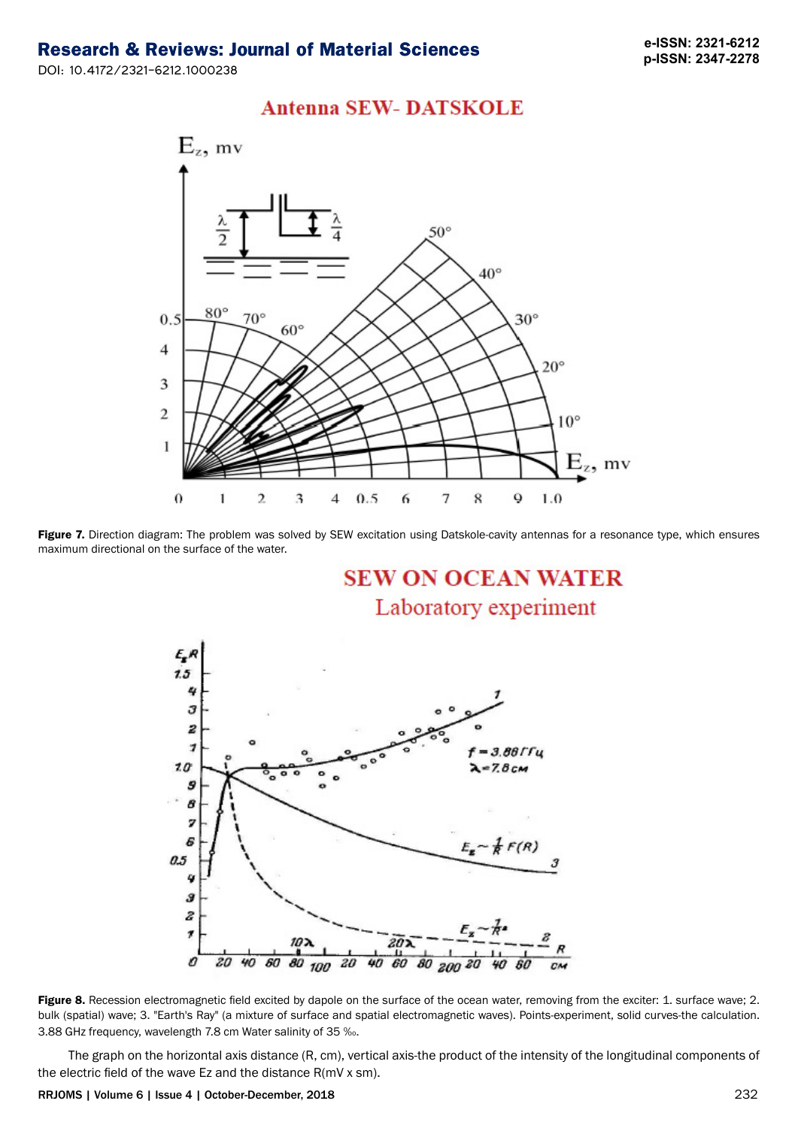DOI: 10.4172/2321-6212.1000238





Figure 7. Direction diagram: The problem was solved by SEW excitation using Datskole-cavity antennas for a resonance type, which ensures maximum directional on the surface of the water.

**SEW ON OCEAN WATER** Laboratory experiment



Figure 8. Recession electromagnetic field excited by dapole on the surface of the ocean water, removing from the exciter: 1. surface wave; 2. bulk (spatial) wave; 3. "Earth's Ray" (a mixture of surface and spatial electromagnetic waves). Points-experiment, solid curves-the calculation. 3.88 GHz frequency, wavelength 7.8 cm Water salinity of 35 ‰.

The graph on the horizontal axis distance (R, cm), vertical axis-the product of the intensity of the longitudinal components of the electric field of the wave Ez and the distance R(mV x sm).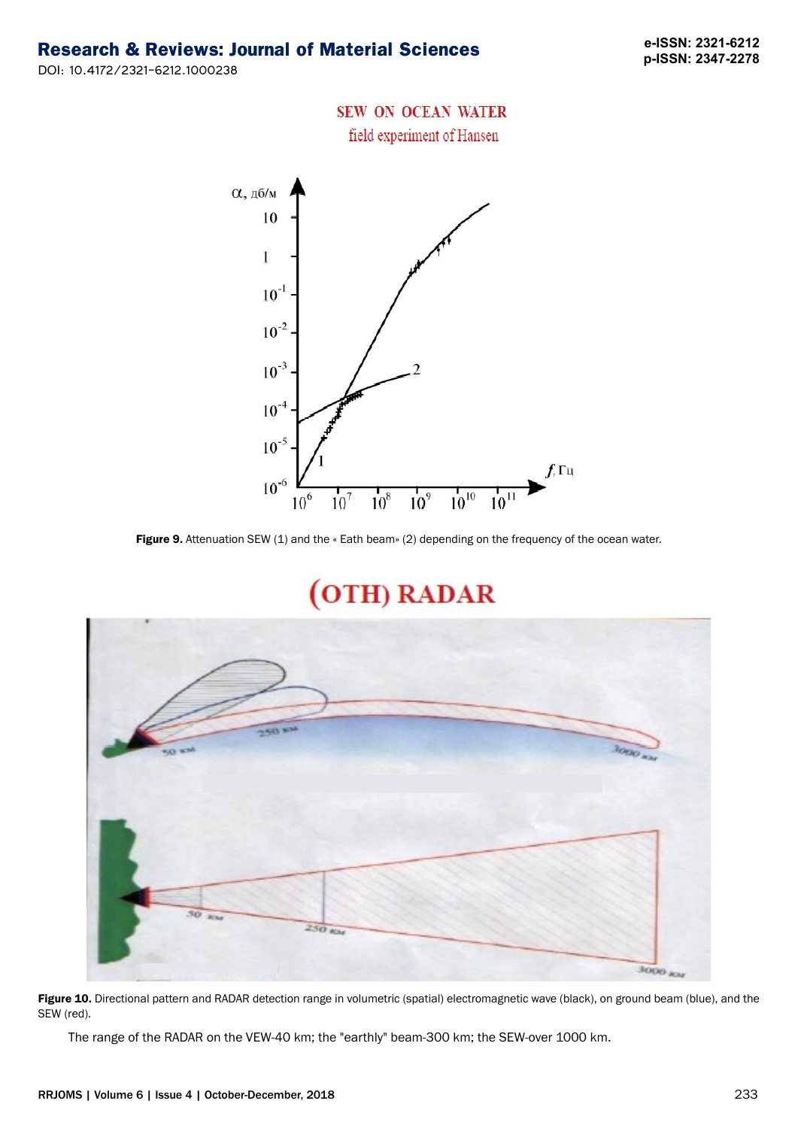**e-ISSN: 2321-6212 p-ISSN: 2347-2278**

## DOI: 10.4172/2321-6212.1000238

## **SEW ON OCEAN WATER**

field experiment of Hansen



Figure 9. Attenuation SEW (1) and the « Eath beam» (2) depending on the frequency of the ocean water.

# (OTH) RADAR



Figure 10. Directional pattern and RADAR detection range in volumetric (spatial) electromagnetic wave (black), on ground beam (blue), and the SEW (red).

The range of the RADAR on the VEW-40 km; the "earthly" beam-300 km; the SEW-over 1000 km.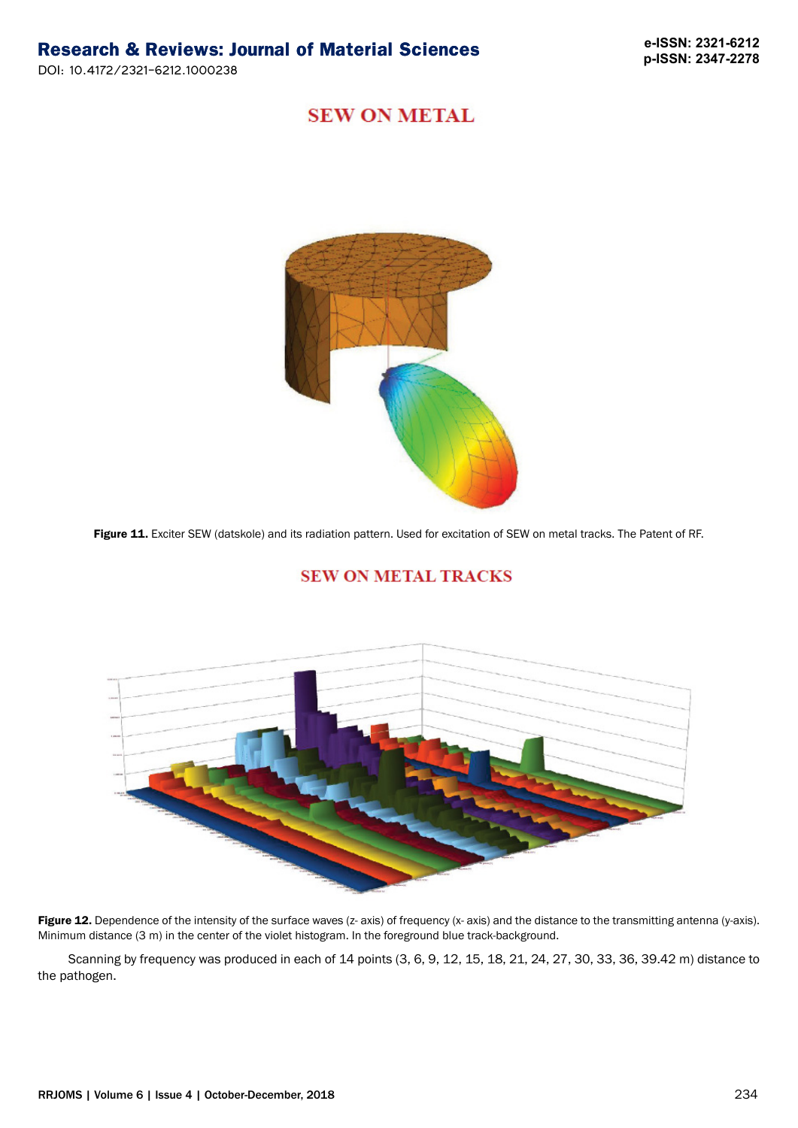## **SEW ON METAL**



Figure 11. Exciter SEW (datskole) and its radiation pattern. Used for excitation of SEW on metal tracks. The Patent of RF.

#### **SEW ON METAL TRACKS**



Figure 12. Dependence of the intensity of the surface waves (z- axis) of frequency (x- axis) and the distance to the transmitting antenna (y-axis). Minimum distance (3 m) in the center of the violet histogram. In the foreground blue track-background.

Scanning by frequency was produced in each of 14 points (3, 6, 9, 12, 15, 18, 21, 24, 27, 30, 33, 36, 39.42 m) distance to the pathogen.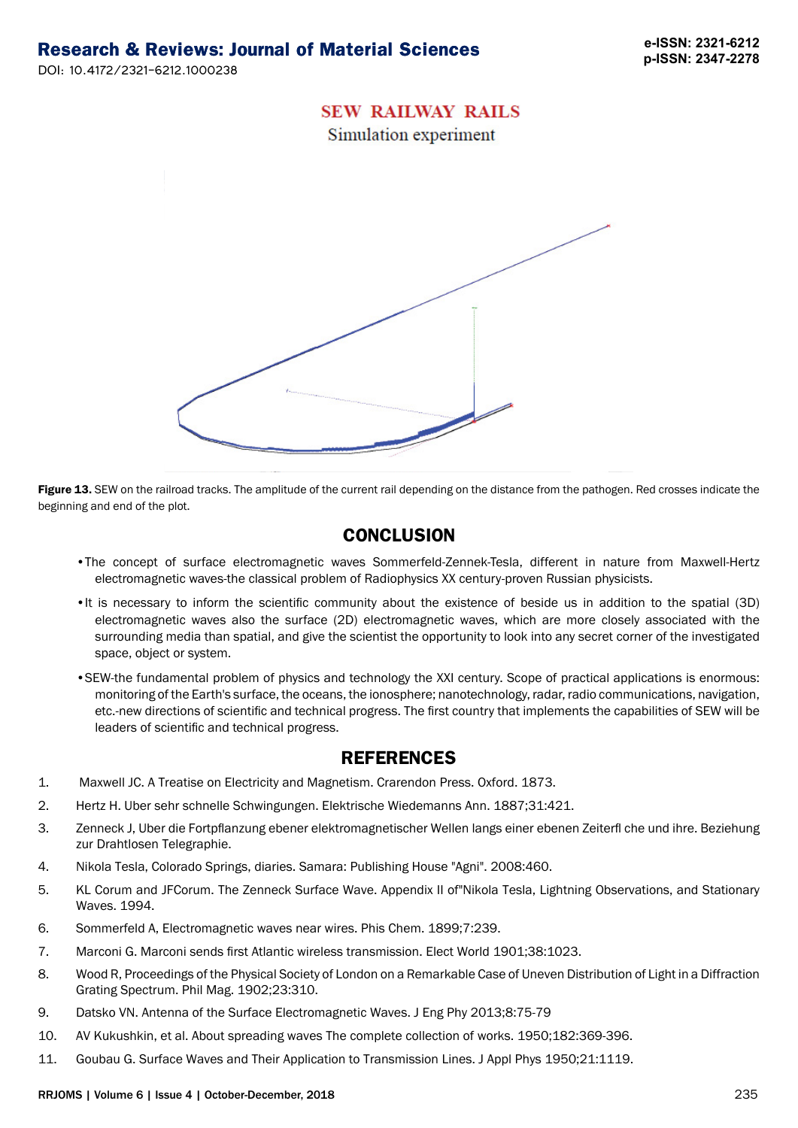#### **SEW RAILWAY RAILS**

Simulation experiment



Figure 13. SEW on the railroad tracks. The amplitude of the current rail depending on the distance from the pathogen. Red crosses indicate the beginning and end of the plot.

## **CONCLUSION**

- •The concept of surface electromagnetic waves Sommerfeld-Zennek-Tesla, different in nature from Maxwell-Hertz electromagnetic waves-the classical problem of Radiophysics XX century-proven Russian physicists.
- •It is necessary to inform the scientific community about the existence of beside us in addition to the spatial (3D) electromagnetic waves also the surface (2D) electromagnetic waves, which are more closely associated with the surrounding media than spatial, and give the scientist the opportunity to look into any secret corner of the investigated space, object or system.
- •SEW-the fundamental problem of physics and technology the XXI century. Scope of practical applications is enormous: monitoring of the Earth's surface, the oceans, the ionosphere; nanotechnology, radar, radio communications, navigation, etc.-new directions of scientific and technical progress. The first country that implements the capabilities of SEW will be leaders of scientific and technical progress.

#### **REFERENCES**

- 1. Maxwell JC. A Treatise on Electricity and Magnetism. Crarendon Press. Oxford. 1873.
- 2. Hertz H. Uber sehr schnelle Schwingungen. Elektrische Wiedemanns Ann. 1887;31:421.
- 3. Zenneck J, Uber die Fortpflanzung ebener elektromagnetischer Wellen langs einer ebenen Zeiterfl che und ihre. Beziehung zur Drahtlosen Telegraphie.
- 4. Nikola Tesla, Colorado Springs, diaries. Samara: Publishing House "Agni". 2008:460.
- 5. KL Сorum and JFCorum. The Zenneck Surface Wave. Appendix II of"Nikola Tesla, Lightning Observations, and Stationary Waves. 1994.
- 6. Sommerfeld A, Electromagnetic waves near wires. Phis Chem. 1899;7:239.
- 7. Marconi G. Marconi sends first Atlantic wireless transmission. Elect World 1901;38:1023.
- 8. Wood R, Proceedings of the Physical Society of London on a Remarkable Case of Uneven Distribution of Light in a Diffraction Grating Spectrum. Phil Mag. 1902;23:310.
- 9. Datsko VN. Antenna of the Surface Electromagnetic Waves. J Eng Phy 2013;8:75-79
- 10. AV Kukushkin, et al. Аbout spreading waves The complete collection of works. 1950;182:369-396.
- 11. Goubau G. Surface Waves and Their Application to Transmission Lines. J Appl Phys 1950;21:1119.